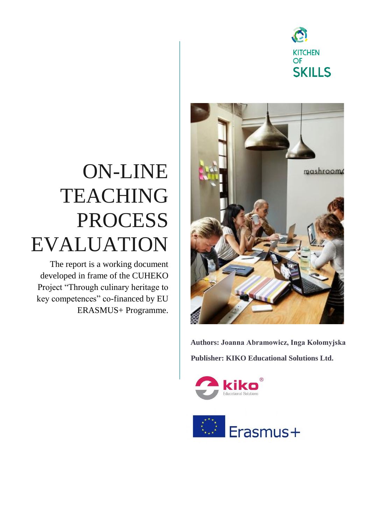

# ON-LINE TEACHING PROCESS EVALUATION

The report is a working document developed in frame of the CUHEKO Project "Through culinary heritage to key competences" co-financed by EU ERASMUS+ Programme.



**Authors: Joanna Abramowicz, Inga Kołomyjska Publisher: KIKO Educational Solutions Ltd.**



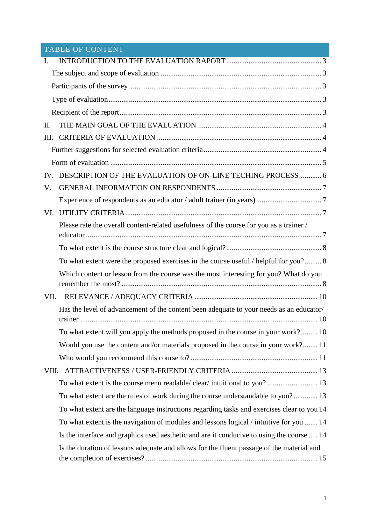# TABLE OF CONTENT

| $\mathbf{I}$ . |                                                                                            |  |  |  |  |
|----------------|--------------------------------------------------------------------------------------------|--|--|--|--|
|                |                                                                                            |  |  |  |  |
|                |                                                                                            |  |  |  |  |
|                |                                                                                            |  |  |  |  |
|                |                                                                                            |  |  |  |  |
| II.            |                                                                                            |  |  |  |  |
| III.           |                                                                                            |  |  |  |  |
|                |                                                                                            |  |  |  |  |
|                |                                                                                            |  |  |  |  |
| IV.            | DESCRIPTION OF THE EVALUATION OF ON-LINE TECHING PROCESS 6                                 |  |  |  |  |
| V.             |                                                                                            |  |  |  |  |
|                |                                                                                            |  |  |  |  |
| VI.            |                                                                                            |  |  |  |  |
|                | Please rate the overall content-related usefulness of the course for you as a trainer /    |  |  |  |  |
|                |                                                                                            |  |  |  |  |
|                |                                                                                            |  |  |  |  |
|                | To what extent were the proposed exercises in the course useful / helpful for you? 8       |  |  |  |  |
|                | Which content or lesson from the course was the most interesting for you? What do you      |  |  |  |  |
| VII.           |                                                                                            |  |  |  |  |
|                | Has the level of advancement of the content been adequate to your needs as an educator/    |  |  |  |  |
|                | To what extent will you apply the methods proposed in the course in your work? 10          |  |  |  |  |
|                | Would you use the content and/or materials proposed in the course in your work? 11         |  |  |  |  |
|                |                                                                                            |  |  |  |  |
| VIII.          |                                                                                            |  |  |  |  |
|                | To what extent is the course menu readable/ clear/ intuitional to you?  13                 |  |  |  |  |
|                | To what extent are the rules of work during the course understandable to you? 13           |  |  |  |  |
|                | To what extent are the language instructions regarding tasks and exercises clear to you 14 |  |  |  |  |
|                | To what extent is the navigation of modules and lessons logical / intuitive for you  14    |  |  |  |  |
|                | Is the interface and graphics used aesthetic and are it conducive to using the course  14  |  |  |  |  |
|                | Is the duration of lessons adequate and allows for the fluent passage of the material and  |  |  |  |  |
|                |                                                                                            |  |  |  |  |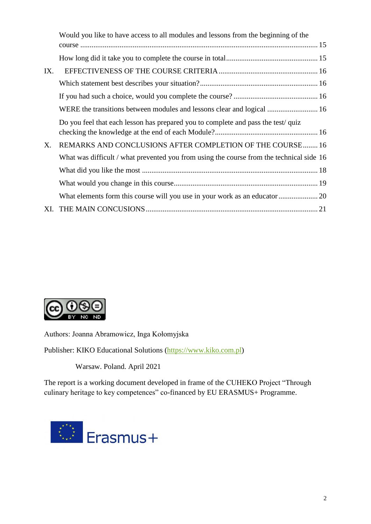|     | Would you like to have access to all modules and lessons from the beginning of the       |  |
|-----|------------------------------------------------------------------------------------------|--|
|     |                                                                                          |  |
|     |                                                                                          |  |
| IX. |                                                                                          |  |
|     |                                                                                          |  |
|     |                                                                                          |  |
|     | WERE the transitions between modules and lessons clear and logical  16                   |  |
|     | Do you feel that each lesson has prepared you to complete and pass the test/quiz         |  |
| X.  | REMARKS AND CONCLUSIONS AFTER COMPLETION OF THE COURSE 16                                |  |
|     | What was difficult / what prevented you from using the course from the technical side 16 |  |
|     |                                                                                          |  |
|     |                                                                                          |  |
|     |                                                                                          |  |
|     |                                                                                          |  |



Authors: Joanna Abramowicz, Inga Kołomyjska

Publisher: KIKO Educational Solutions [\(https://www.kiko.com.pl\)](https://www.kiko.com.pl/)

Warsaw. Poland. April 2021

The report is a working document developed in frame of the CUHEKO Project "Through culinary heritage to key competences" co-financed by EU ERASMUS+ Programme.

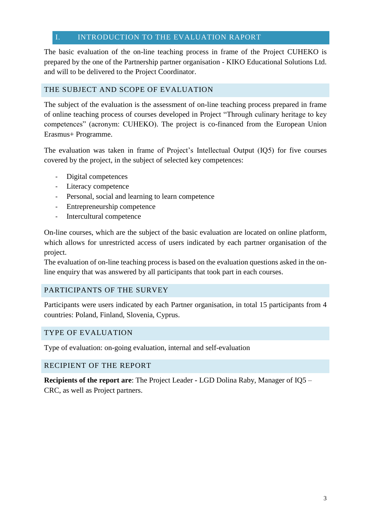## <span id="page-3-0"></span>I. INTRODUCTION TO THE EVALUATION RAPORT

The basic evaluation of the on-line teaching process in frame of the Project CUHEKO is prepared by the one of the Partnership partner organisation - KIKO Educational Solutions Ltd. and will to be delivered to the Project Coordinator.

## <span id="page-3-1"></span>THE SUBJECT AND SCOPE OF EVALUATION

The subject of the evaluation is the assessment of on-line teaching process prepared in frame of online teaching process of courses developed in Project "Through culinary heritage to key competences" (acronym: CUHEKO). The project is co-financed from the European Union Erasmus+ Programme.

The evaluation was taken in frame of Project's Intellectual Output (IQ5) for five courses covered by the project, in the subject of selected key competences:

- Digital competences
- Literacy competence
- Personal, social and learning to learn competence
- Entrepreneurship competence
- Intercultural competence

On-line courses, which are the subject of the basic evaluation are located on online platform, which allows for unrestricted access of users indicated by each partner organisation of the project.

The evaluation of on-line teaching process is based on the evaluation questions asked in the online enquiry that was answered by all participants that took part in each courses.

## <span id="page-3-2"></span>PARTICIPANTS OF THE SURVEY

Participants were users indicated by each Partner organisation, in total 15 participants from 4 countries: Poland, Finland, Slovenia, Cyprus.

#### <span id="page-3-3"></span>TYPE OF EVALUATION

Type of evaluation: on-going evaluation, internal and self-evaluation

#### <span id="page-3-4"></span>RECIPIENT OF THE REPORT

**Recipients of the report are**: The Project Leader **-** LGD Dolina Raby, Manager of IQ5 – CRC, as well as Project partners.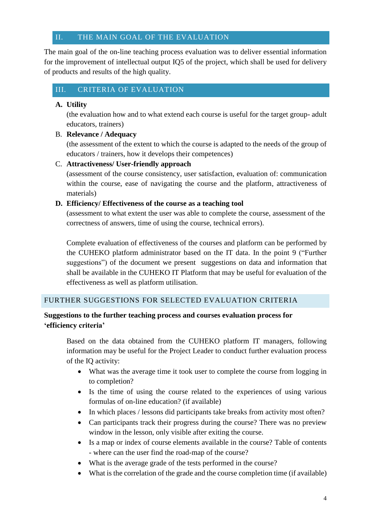## <span id="page-4-0"></span>II. THE MAIN GOAL OF THE EVALUATION

The main goal of the on-line teaching process evaluation was to deliver essential information for the improvement of intellectual output IQ5 of the project, which shall be used for delivery of products and results of the high quality.

# <span id="page-4-1"></span>III. CRITERIA OF EVALUATION

## **A. Utility**

(the evaluation how and to what extend each course is useful for the target group- adult educators, trainers)

## B. **Relevance / Adequacy**

(the assessment of the extent to which the course is adapted to the needs of the group of educators / trainers, how it develops their competences)

## C. **Attractiveness/ User-friendly approach**

(assessment of the course consistency, user satisfaction, evaluation of: communication within the course, ease of navigating the course and the platform, attractiveness of materials)

## **D. Efficiency/ Effectiveness of the course as a teaching tool**

(assessment to what extent the user was able to complete the course, assessment of the correctness of answers, time of using the course, technical errors).

Complete evaluation of effectiveness of the courses and platform can be performed by the CUHEKO platform administrator based on the IT data. In the point 9 ("Further suggestions") of the document we present suggestions on data and information that shall be available in the CUHEKO IT Platform that may be useful for evaluation of the effectiveness as well as platform utilisation.

## <span id="page-4-2"></span>FURTHER SUGGESTIONS FOR SELECTED EVALUATION CRITERIA

## **Suggestions to the further teaching process and courses evaluation process for 'efficiency criteria'**

Based on the data obtained from the CUHEKO platform IT managers, following information may be useful for the Project Leader to conduct further evaluation process of the IQ activity:

- What was the average time it took user to complete the course from logging in to completion?
- Is the time of using the course related to the experiences of using various formulas of on-line education? (if available)
- In which places / lessons did participants take breaks from activity most often?
- Can participants track their progress during the course? There was no preview window in the lesson, only visible after exiting the course.
- Is a map or index of course elements available in the course? Table of contents - where can the user find the road-map of the course?
- What is the average grade of the tests performed in the course?
- What is the correlation of the grade and the course completion time (if available)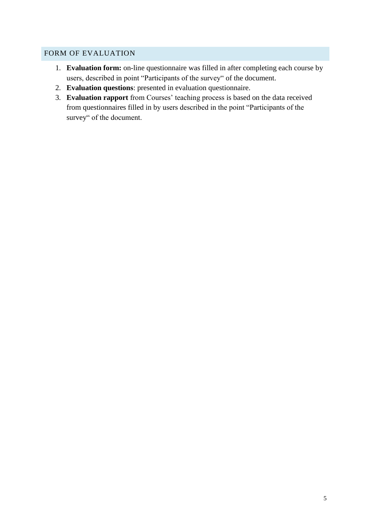## <span id="page-5-0"></span>FORM OF EVALUATION

- 1. **Evaluation form:** on-line questionnaire was filled in after completing each course by users, described in point "Participants of the survey" of the document.
- 2. **Evaluation questions**: presented in evaluation questionnaire.
- 3. **Evaluation rapport** from Courses' teaching process is based on the data received from questionnaires filled in by users described in the point "Participants of the survey" of the document.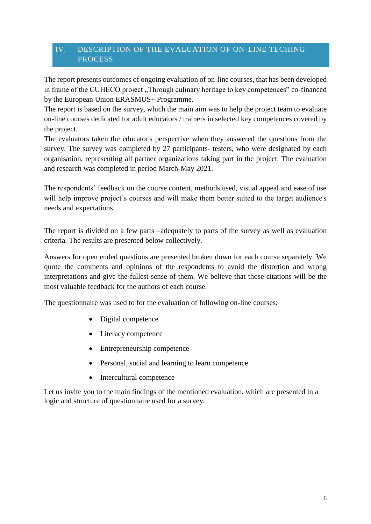# <span id="page-6-0"></span>IV. DESCRIPTION OF THE EVALUATION OF ON-LINE TECHING **PROCESS**

The report presents outcomes of ongoing evaluation of on-line courses, that has been developed in frame of the CUHECO project "Through culinary heritage to key competences" co-financed by the European Union ERASMUS+ Programme.

The report is based on the survey, which the main aim was to help the project team to evaluate on-line courses dedicated for adult educators / trainers in selected key competences covered by the project.

The evaluators taken the educator's perspective when they answered the questions from the survey. The survey was completed by 27 participants- testers, who were designated by each organisation, representing all partner organizations taking part in the project. The evaluation and research was completed in period March-May 2021.

The respondents' feedback on the course content, methods used, visual appeal and ease of use will help improve project's courses and will make them better suited to the target audience's needs and expectations.

The report is divided on a few parts –adequately to parts of the survey as well as evaluation criteria. The results are presented below collectively.

Answers for open ended questions are presented broken down for each course separately. We quote the comments and opinions of the respondents to avoid the distortion and wrong interpretations and give the fullest sense of them. We believe that those citations will be the most valuable feedback for the authors of each course.

The questionnaire was used to for the evaluation of following on-line courses:

- Digital competence
- Literacy competence
- Entrepreneurship competence
- Personal, social and learning to learn competence
- Intercultural competence

Let us invite you to the main findings of the mentioned evaluation, which are presented in a logic and structure of questionnaire used for a survey.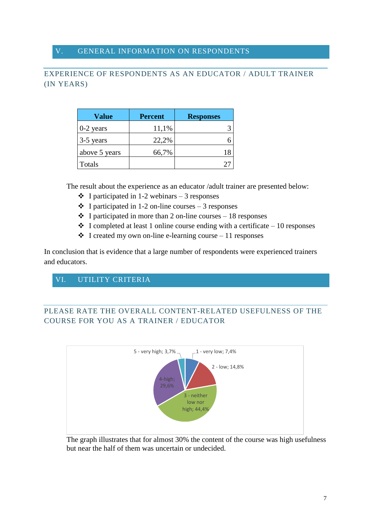## <span id="page-7-0"></span>V. GENERAL INFORMATION ON RESPONDENTS

# <span id="page-7-1"></span>EXPERIENCE OF RESPONDENTS AS AN EDUCATOR / ADULT TRAINER (IN YEARS)

| Value         | <b>Percent</b> | <b>Responses</b> |
|---------------|----------------|------------------|
| $0-2$ years   | 11,1%          |                  |
| $3-5$ years   | 22,2%          |                  |
| above 5 years | 66,7%          | 18               |
| Totals        |                |                  |

The result about the experience as an educator /adult trainer are presented below:

- $\div$  I participated in 1-2 webinars 3 responses
- $\div$  I participated in 1-2 on-line courses 3 responses
- $\div$  I participated in more than 2 on-line courses 18 responses
- $\div$  I completed at least 1 online course ending with a certificate 10 responses
- $\cdot \cdot$  I created my own on-line e-learning course 11 responses

In conclusion that is evidence that a large number of respondents were experienced trainers and educators.

# <span id="page-7-2"></span>VI. UTILITY CRITERIA

# <span id="page-7-3"></span>PLEASE RATE THE OVERALL CONTENT-RELATED USEFULNESS OF THE COURSE FOR YOU AS A TRAINER / EDUCATOR



The graph illustrates that for almost 30% the content of the course was high usefulness but near the half of them was uncertain or undecided.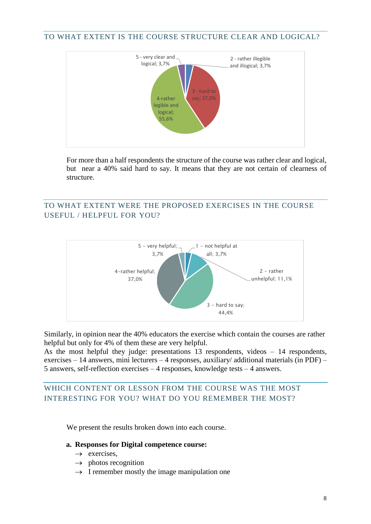<span id="page-8-0"></span>TO WHAT EXTENT IS THE COURSE STRUCTURE CLEAR AND LOGICAL?



For more than a half respondents the structure of the course was rather clear and logical, but near a 40% said hard to say. It means that they are not certain of clearness of structure.

# <span id="page-8-1"></span>TO WHAT EXTENT WERE THE PROPOSED EXERCISES IN THE COURSE USEFUL / HELPFUL FOR YOU?



Similarly, in opinion near the 40% educators the exercise which contain the courses are rather helpful but only for 4% of them these are very helpful.

As the most helpful they judge: presentations 13 respondents, videos – 14 respondents, exercises – 14 answers, mini lecturers – 4 responses, auxiliary/ additional materials (in PDF) – 5 answers, self-reflection exercises – 4 responses, knowledge tests – 4 answers.

## <span id="page-8-2"></span>WHICH CONTENT OR LESSON FROM THE COURSE WAS THE MOST INTERESTING FOR YOU? WHAT DO YOU REMEMBER THE MOST?

We present the results broken down into each course.

#### **a. Responses for Digital competence course:**

- $\rightarrow$  exercises.
- $\rightarrow$  photos recognition
- $\rightarrow$  I remember mostly the image manipulation one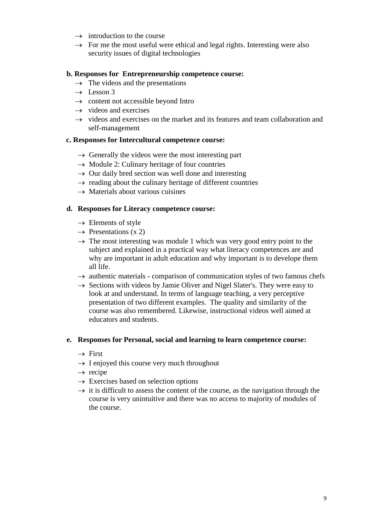- $\rightarrow$  introduction to the course
- $\rightarrow$  For me the most useful were ethical and legal rights. Interesting were also security issues of digital technologies

## **b. Responses for Entrepreneurship competence course:**

- $\rightarrow$  The videos and the presentations
- $\rightarrow$  Lesson 3
- $\rightarrow$  content not accessible beyond Intro
- $\rightarrow$  videos and exercises
- $\rightarrow$  videos and exercises on the market and its features and team collaboration and self-management

#### **c. Responses for Intercultural competence course:**

- $\rightarrow$  Generally the videos were the most interesting part
- $\rightarrow$  Module 2: Culinary heritage of four countries
- $\rightarrow$  Our daily bred section was well done and interesting
- $\rightarrow$  reading about the culinary heritage of different countries
- $\rightarrow$  Materials about various cuisines

## **d. Responses for Literacy competence course:**

- $\rightarrow$  Elements of style
- $\rightarrow$  Presentations (x 2)
- $\rightarrow$  The most interesting was module 1 which was very good entry point to the subject and explained in a practical way what literacy competences are and why are important in adult education and why important is to develope them all life.
- $\rightarrow$  authentic materials comparison of communication styles of two famous chefs
- $\rightarrow$  Sections with videos by Jamie Oliver and Nigel Slater's. They were easy to look at and understand. In terms of language teaching, a very perceptive presentation of two different examples. The quality and similarity of the course was also remembered. Likewise, instructional videos well aimed at educators and students.

#### **e. Responses for Personal, social and learning to learn competence course:**

- $\rightarrow$  First
- $\rightarrow$  I enjoyed this course very much throughout
- $\rightarrow$  recipe
- $\rightarrow$  Exercises based on selection options
- $\rightarrow$  it is difficult to assess the content of the course, as the navigation through the course is very unintuitive and there was no access to majority of modules of the course.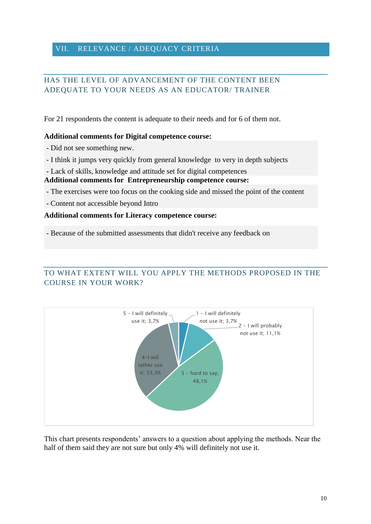## <span id="page-10-0"></span>VII. RELEVANCE / ADEQUACY CRITERIA

# <span id="page-10-1"></span>HAS THE LEVEL OF ADVANCEMENT OF THE CONTENT BEEN ADEQUATE TO YOUR NEEDS AS AN EDUCATOR/ TRAINER

For 21 respondents the content is adequate to their needs and for 6 of them not.

#### **Additional comments for Digital competence course:**

- Did not see something new.

- I think it jumps very quickly from general knowledge to very in depth subjects
- Lack of skills, knowledge and attitude set for digital competences

#### **Additional comments for Entrepreneurship competence course:**

- The exercises were too focus on the cooking side and missed the point of the content
- Content not accessible beyond Intro

## **Additional comments for Literacy competence course:**

- Because of the submitted assessments that didn't receive any feedback on

# <span id="page-10-2"></span>TO WHAT EXTENT WILL YOU APPLY THE METHODS PROPOSED IN THE COURSE IN YOUR WORK?



This chart presents respondents' answers to a question about applying the methods. Near the half of them said they are not sure but only 4% will definitely not use it.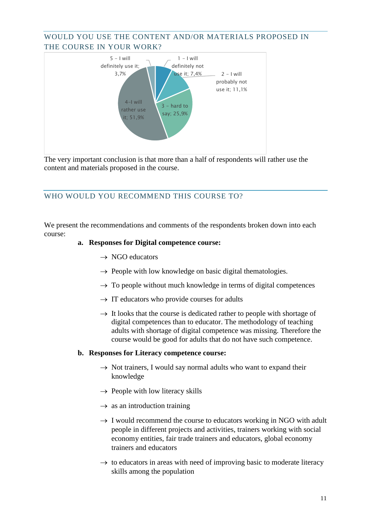# <span id="page-11-0"></span>WOULD YOU USE THE CONTENT AND/OR MATERIALS PROPOSED IN THE COURSE IN YOUR WORK?



The very important conclusion is that more than a half of respondents will rather use the content and materials proposed in the course.

## <span id="page-11-1"></span>WHO WOULD YOU RECOMMEND THIS COURSE TO?

We present the recommendations and comments of the respondents broken down into each course:

#### **a. Responses for Digital competence course:**

- $\rightarrow$  NGO educators
- $\rightarrow$  People with low knowledge on basic digital thematologies.
- $\rightarrow$  To people without much knowledge in terms of digital competences
- $\rightarrow$  IT educators who provide courses for adults
- $\rightarrow$  It looks that the course is dedicated rather to people with shortage of digital competences than to educator. The methodology of teaching adults with shortage of digital competence was missing. Therefore the course would be good for adults that do not have such competence.

#### **b. Responses for Literacy competence course:**

- $\rightarrow$  Not trainers, I would say normal adults who want to expand their knowledge
- $\rightarrow$  People with low literacy skills
- $\rightarrow$  as an introduction training
- $\rightarrow$  I would recommend the course to educators working in NGO with adult people in different projects and activities, trainers working with social economy entities, fair trade trainers and educators, global economy trainers and educators
- $\rightarrow$  to educators in areas with need of improving basic to moderate literacy skills among the population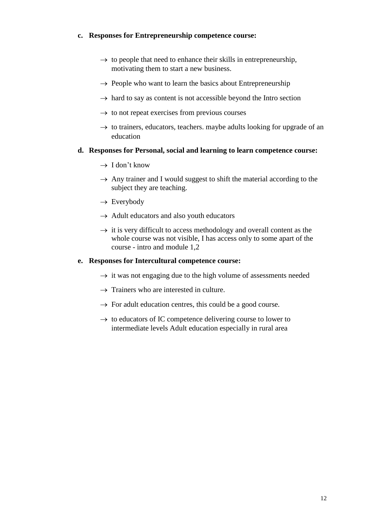## **c. Responses for Entrepreneurship competence course:**

- $\rightarrow$  to people that need to enhance their skills in entrepreneurship, motivating them to start a new business.
- $\rightarrow$  People who want to learn the basics about Entrepreneurship
- $\rightarrow$  hard to say as content is not accessible beyond the Intro section
- $\rightarrow$  to not repeat exercises from previous courses
- $\rightarrow$  to trainers, educators, teachers. maybe adults looking for upgrade of an education

## **d. Responses for Personal, social and learning to learn competence course:**

- $\rightarrow$  I don't know
- $\rightarrow$  Any trainer and I would suggest to shift the material according to the subject they are teaching.
- $\rightarrow$  Everybody
- $\rightarrow$  Adult educators and also youth educators
- $\rightarrow$  it is very difficult to access methodology and overall content as the whole course was not visible, I has access only to some apart of the course - intro and module 1,2

## **e. Responses for Intercultural competence course:**

- $\rightarrow$  it was not engaging due to the high volume of assessments needed
- $\rightarrow$  Trainers who are interested in culture.
- $\rightarrow$  For adult education centres, this could be a good course.
- $\rightarrow$  to educators of IC competence delivering course to lower to intermediate levels Adult education especially in rural area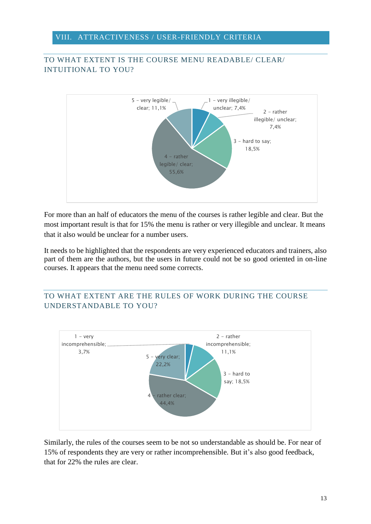## <span id="page-13-0"></span>VIII. ATTRACTIVENESS / USER-FRIENDLY CRITERIA

# <span id="page-13-1"></span>TO WHAT EXTENT IS THE COURSE MENU READABLE/ CLEAR/ INTUITIONAL TO YOU?



For more than an half of educators the menu of the courses is rather legible and clear. But the most important result is that for 15% the menu is rather or very illegible and unclear. It means that it also would be unclear for a number users.

It needs to be highlighted that the respondents are very experienced educators and trainers, also part of them are the authors, but the users in future could not be so good oriented in on-line courses. It appears that the menu need some corrects.

# <span id="page-13-2"></span>TO WHAT EXTENT ARE THE RULES OF WORK DURING THE COURSE UNDERSTANDABLE TO YOU?



Similarly, the rules of the courses seem to be not so understandable as should be. For near of 15% of respondents they are very or rather incomprehensible. But it's also good feedback, that for 22% the rules are clear.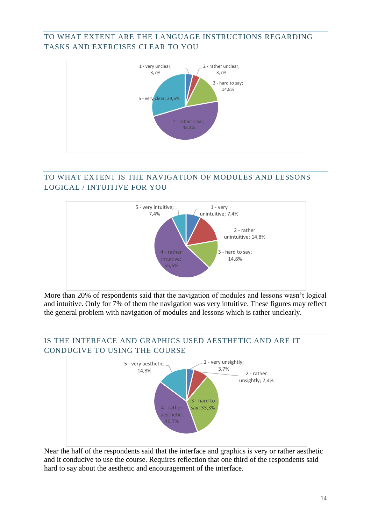# <span id="page-14-0"></span>TO WHAT EXTENT ARE THE LANGUAGE INSTRUCTIONS REGARDING TASKS AND EXERCISES CLEAR TO YOU



# <span id="page-14-1"></span>TO WHAT EXTENT IS THE NAVIGATION OF MODULES AND LESSONS LOGICAL / INTUITIVE FOR YOU



More than 20% of respondents said that the navigation of modules and lessons wasn't logical and intuitive. Only for 7% of them the navigation was very intuitive. These figures may reflect the general problem with navigation of modules and lessons which is rather unclearly.

# <span id="page-14-2"></span>IS THE INTERFACE AND GRAPHICS USED AESTHETIC AND ARE IT CONDUCIVE TO USING THE COURSE



Near the half of the respondents said that the interface and graphics is very or rather aesthetic and it conducive to use the course. Requires reflection that one third of the respondents said hard to say about the aesthetic and encouragement of the interface.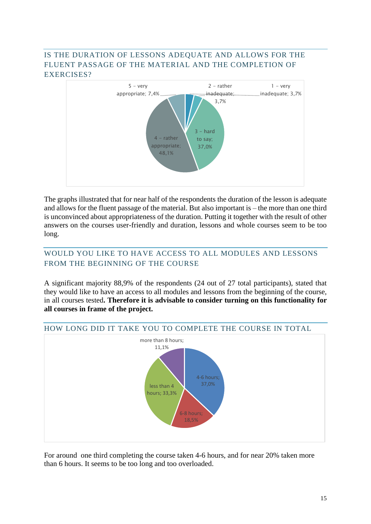# <span id="page-15-0"></span>IS THE DURATION OF LESSONS ADEQUATE AND ALLOWS FOR THE FLUENT PASSAGE OF THE MATERIAL AND THE COMPLETION OF EXERCISES?



The graphs illustrated that for near half of the respondents the duration of the lesson is adequate and allows for the fluent passage of the material. But also important is – the more than one third is unconvinced about appropriateness of the duration. Putting it together with the result of other answers on the courses user-friendly and duration, lessons and whole courses seem to be too long.

# <span id="page-15-1"></span>WOULD YOU LIKE TO HAVE ACCESS TO ALL MODULES AND LESSONS FROM THE BEGINNING OF THE COURSE

A significant majority 88,9% of the respondents (24 out of 27 total participants), stated that they would like to have an access to all modules and lessons from the beginning of the course, in all courses tested**. Therefore it is advisable to consider turning on this functionality for all courses in frame of the project.**



#### <span id="page-15-2"></span>HOW LONG DID IT TAKE YOU TO COMPLETE THE COURSE IN TOTAL

For around one third completing the course taken 4-6 hours, and for near 20% taken more than 6 hours. It seems to be too long and too overloaded.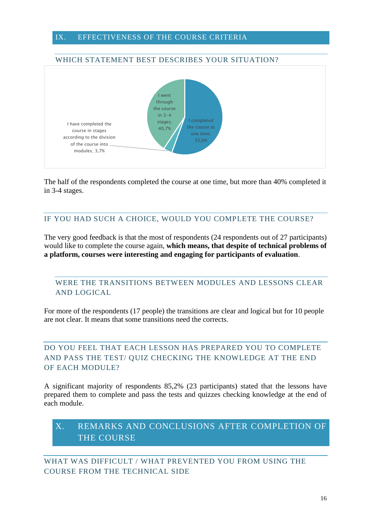#### <span id="page-16-0"></span>IX. EFFECTIVENESS OF THE COURSE CRITERIA

<span id="page-16-1"></span>

The half of the respondents completed the course at one time, but more than 40% completed it in 3-4 stages.

## <span id="page-16-2"></span>IF YOU HAD SUCH A CHOICE, WOULD YOU COMPLETE THE COURSE?

The very good feedback is that the most of respondents (24 respondents out of 27 participants) would like to complete the course again, **which means, that despite of technical problems of a platform, courses were interesting and engaging for participants of evaluation**.

# <span id="page-16-3"></span>WERE THE TRANSITIONS BETWEEN MODULES AND LESSONS CLEAR AND LOGICAL

For more of the respondents (17 people) the transitions are clear and logical but for 10 people are not clear. It means that some transitions need the corrects.

# <span id="page-16-4"></span>DO YOU FEEL THAT EACH LESSON HAS PREPARED YOU TO COMPLETE AND PASS THE TEST/ QUIZ CHECKING THE KNOWLEDGE AT THE END OF EACH MODULE?

A significant majority of respondents 85,2% (23 participants) stated that the lessons have prepared them to complete and pass the tests and quizzes checking knowledge at the end of each module.

# <span id="page-16-5"></span>X. REMARKS AND CONCLUSIONS AFTER COMPLETION OF THE COURSE

<span id="page-16-6"></span>WHAT WAS DIFFICULT / WHAT PREVENTED YOU FROM USING THE COURSE FROM THE TECHNICAL SIDE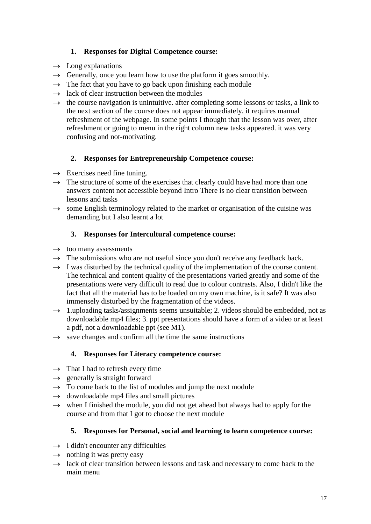# **1. Responses for Digital Competence course:**

- $\rightarrow$  Long explanations
- $\rightarrow$  Generally, once you learn how to use the platform it goes smoothly.
- $\rightarrow$  The fact that you have to go back upon finishing each module
- $\rightarrow$  lack of clear instruction between the modules
- $\rightarrow$  the course navigation is unintuitive. after completing some lessons or tasks, a link to the next section of the course does not appear immediately. it requires manual refreshment of the webpage. In some points I thought that the lesson was over, after refreshment or going to menu in the right column new tasks appeared. it was very confusing and not-motivating.

# **2. Responses for Entrepreneurship Competence course:**

- $\rightarrow$  Exercises need fine tuning.
- $\rightarrow$  The structure of some of the exercises that clearly could have had more than one answers content not accessible beyond Intro There is no clear transition between lessons and tasks
- $\rightarrow$  some English terminology related to the market or organisation of the cuisine was demanding but I also learnt a lot

## **3. Responses for Intercultural competence course:**

- $\rightarrow$  too many assessments
- $\rightarrow$  The submissions who are not useful since you don't receive any feedback back.
- $\rightarrow$  I was disturbed by the technical quality of the implementation of the course content. The technical and content quality of the presentations varied greatly and some of the presentations were very difficult to read due to colour contrasts. Also, I didn't like the fact that all the material has to be loaded on my own machine, is it safe? It was also immensely disturbed by the fragmentation of the videos.
- $\rightarrow$  1.uploading tasks/assignments seems unsuitable; 2. videos should be embedded, not as downloadable mp4 files; 3. ppt presentations should have a form of a video or at least a pdf, not a downloadable ppt (see M1).
- $\rightarrow$  save changes and confirm all the time the same instructions

## **4. Responses for Literacy competence course:**

- $\rightarrow$  That I had to refresh every time
- $\rightarrow$  generally is straight forward
- $\rightarrow$  To come back to the list of modules and jump the next module
- $\rightarrow$  downloadable mp4 files and small pictures
- $\rightarrow$  when I finished the module, you did not get ahead but always had to apply for the course and from that I got to choose the next module

## **5. Responses for Personal, social and learning to learn competence course:**

- $\rightarrow$  I didn't encounter any difficulties
- $\rightarrow$  nothing it was pretty easy
- $\rightarrow$  lack of clear transition between lessons and task and necessary to come back to the main menu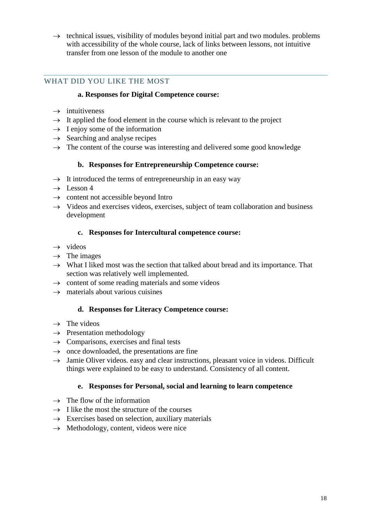$\rightarrow$  technical issues, visibility of modules beyond initial part and two modules. problems with accessibility of the whole course, lack of links between lessons, not intuitive transfer from one lesson of the module to another one

## <span id="page-18-0"></span>WHAT DID YOU LIKE THE MOST

## **a. Responses for Digital Competence course:**

- $\rightarrow$  intuitiveness
- $\rightarrow$  It applied the food element in the course which is relevant to the project
- $\rightarrow$  I enjoy some of the information
- $\rightarrow$  Searching and analyse recipes
- $\rightarrow$  The content of the course was interesting and delivered some good knowledge

#### **b. Responses for Entrepreneurship Competence course:**

- $\rightarrow$  It introduced the terms of entrepreneurship in an easy way
- $\rightarrow$  Lesson 4
- $\rightarrow$  content not accessible beyond Intro
- $\rightarrow$  Videos and exercises videos, exercises, subject of team collaboration and business development

## **c. Responses for Intercultural competence course:**

- $\rightarrow$  videos
- $\rightarrow$  The images
- $\rightarrow$  What I liked most was the section that talked about bread and its importance. That section was relatively well implemented.
- $\rightarrow$  content of some reading materials and some videos
- $\rightarrow$  materials about various cuisines

## **d. Responses for Literacy Competence course:**

- $\rightarrow$  The videos
- $\rightarrow$  Presentation methodology
- $\rightarrow$  Comparisons, exercises and final tests
- $\rightarrow$  once downloaded, the presentations are fine
- $\rightarrow$  Jamie Oliver videos. easy and clear instructions, pleasant voice in videos. Difficult things were explained to be easy to understand. Consistency of all content.

#### **e. Responses for Personal, social and learning to learn competence**

- $\rightarrow$  The flow of the information
- $\rightarrow$  I like the most the structure of the courses
- $\rightarrow$  Exercises based on selection, auxiliary materials
- $\rightarrow$  Methodology, content, videos were nice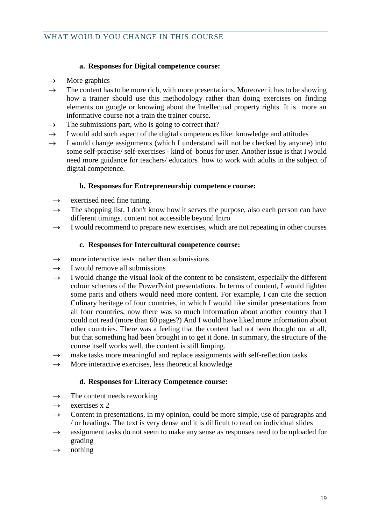## **a. Responses for Digital competence course:**

- <span id="page-19-0"></span> $\rightarrow$  More graphics
- $\rightarrow$  The content has to be more rich, with more presentations. Moreover it has to be showing how a trainer should use this methodology rather than doing exercises on finding elements on google or knowing about the Intellectual property rights. It is more an informative course not a train the trainer course.
- $\rightarrow$  The submissions part, who is going to correct that?
- $\rightarrow$  I would add such aspect of the digital competences like: knowledge and attitudes
- $\rightarrow$  I would change assignments (which I understand will not be checked by anyone) into some self-practise/ self-exercises - kind of bonus for user. Another issue is that I would need more guidance for teachers/ educators how to work with adults in the subject of digital competence.

#### **b. Responses for Entrepreneurship competence course:**

- $\rightarrow$  exercised need fine tuning.
- $\rightarrow$  The shopping list, I don't know how it serves the purpose, also each person can have different timings. content not accessible beyond Intro
- $\rightarrow$  I would recommend to prepare new exercises, which are not repeating in other courses

## **c. Responses for Intercultural competence course:**

- $\rightarrow$  more interactive tests rather than submissions
- $\rightarrow$  I would remove all submissions
- $\rightarrow$  I would change the visual look of the content to be consistent, especially the different colour schemes of the PowerPoint presentations. In terms of content, I would lighten some parts and others would need more content. For example, I can cite the section Culinary heritage of four countries, in which I would like similar presentations from all four countries, now there was so much information about another country that I could not read (more than 60 pages?) And I would have liked more information about other countries. There was a feeling that the content had not been thought out at all, but that something had been brought in to get it done. In summary, the structure of the course itself works well, the content is still limping.
- $\rightarrow$  make tasks more meaningful and replace assignments with self-reflection tasks
- $\rightarrow$  More interactive exercises, less theoretical knowledge

#### **d. Responses for Literacy Competence course:**

- $\rightarrow$  The content needs reworking
- $\rightarrow$  exercises x 2
- $\rightarrow$  Content in presentations, in my opinion, could be more simple, use of paragraphs and / or headings. The text is very dense and it is difficult to read on individual slides
- $\rightarrow$  assignment tasks do not seem to make any sense as responses need to be uploaded for grading
- $\rightarrow$  nothing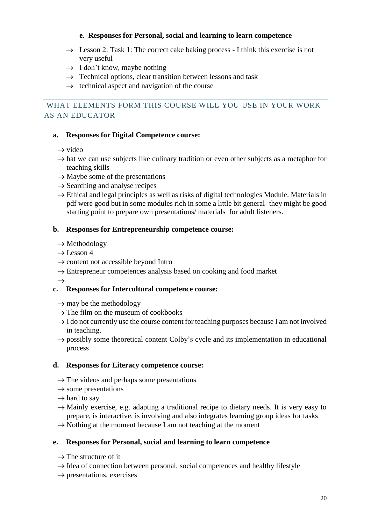## **e. Responses for Personal, social and learning to learn competence**

- $\rightarrow$  Lesson 2: Task 1: The correct cake baking process I think this exercise is not very useful
- $\rightarrow$  I don't know, maybe nothing
- $\rightarrow$  Technical options, clear transition between lessons and task
- $\rightarrow$  technical aspect and navigation of the course

# <span id="page-20-0"></span>WHAT ELEMENTS FORM THIS COURSE WILL YOU USE IN YOUR WORK AS AN EDUCATOR

## **a. Responses for Digital Competence course:**

 $\rightarrow$  video

- $\rightarrow$  hat we can use subjects like culinary tradition or even other subjects as a metaphor for teaching skills
- $\rightarrow$  Maybe some of the presentations
- $\rightarrow$  Searching and analyse recipes
- $\rightarrow$  Ethical and legal principles as well as risks of digital technologies Module. Materials in pdf were good but in some modules rich in some a little bit general- they might be good starting point to prepare own presentations/ materials for adult listeners.

## **b. Responses for Entrepreneurship competence course:**

- $\rightarrow$  Methodology
- $\rightarrow$  Lesson 4
- $\rightarrow$  content not accessible beyond Intro
- $\rightarrow$  Entrepreneur competences analysis based on cooking and food market

 $\rightarrow$ 

# **c. Responses for Intercultural competence course:**

- $\rightarrow$  may be the methodology
- $\rightarrow$  The film on the museum of cookbooks
- $\rightarrow$  I do not currently use the course content for teaching purposes because I am not involved in teaching.
- $\rightarrow$  possibly some theoretical content Colby's cycle and its implementation in educational process

## **d. Responses for Literacy competence course:**

- $\rightarrow$  The videos and perhaps some presentations
- $\rightarrow$  some presentations
- $\rightarrow$  hard to say
- $\rightarrow$  Mainly exercise, e.g. adapting a traditional recipe to dietary needs. It is very easy to prepare, is interactive, is involving and also integrates learning group ideas for tasks
- $\rightarrow$  Nothing at the moment because I am not teaching at the moment

## **e. Responses for Personal, social and learning to learn competence**

- $\rightarrow$  The structure of it
- $\rightarrow$  Idea of connection between personal, social competences and healthy lifestyle
- $\rightarrow$  presentations, exercises